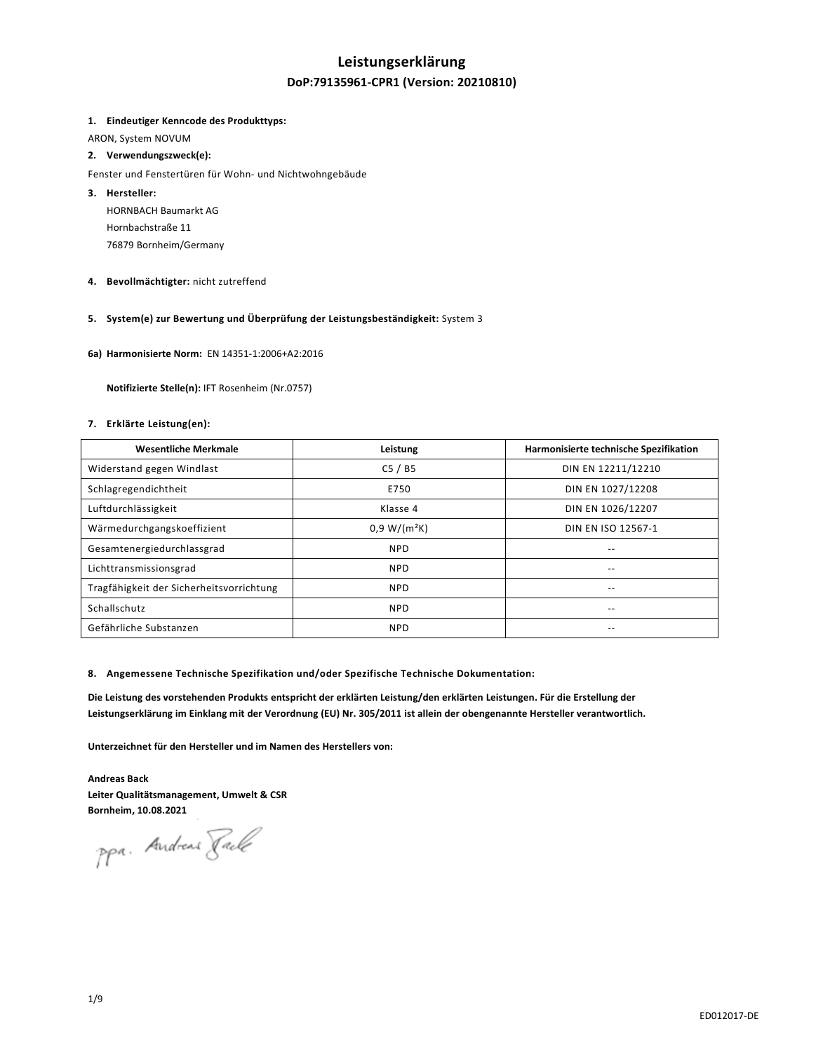## **Leistungserklärung**

## **DoP:79135961-CPR1 (Version: 20210810)**

#### **1. Eindeutiger Kenncode des Produkttyps:**

ARON, System NOVUM

## **2. Verwendungszweck(e):**

#### Fenster und Fenstertüren für Wohn- und Nichtwohngebäude

**3. Hersteller:**  HORNBACH Baumarkt AG Hornbachstraße 11

76879 Bornheim/Germany

**4. Bevollmächtigter:** nicht zutreffend

## **5. System(e) zur Bewertung und Überprüfung der Leistungsbeständigkeit:** System 3

**6a) Harmonisierte Norm:** EN 14351-1:2006+A2:2016

 **Notifizierte Stelle(n):** IFT Rosenheim (Nr.0757)

## **7. Erklärte Leistung(en):**

| <b>Wesentliche Merkmale</b>              | Leistung       | Harmonisierte technische Spezifikation |
|------------------------------------------|----------------|----------------------------------------|
| Widerstand gegen Windlast                | C5/BS          | DIN EN 12211/12210                     |
| Schlagregendichtheit                     | E750           | DIN EN 1027/12208                      |
| Luftdurchlässigkeit                      | Klasse 4       | DIN EN 1026/12207                      |
| Wärmedurchgangskoeffizient               | $0.9 W/(m^2K)$ | DIN EN ISO 12567-1                     |
| Gesamtenergiedurchlassgrad               | <b>NPD</b>     | --                                     |
| Lichttransmissionsgrad                   | <b>NPD</b>     | --                                     |
| Tragfähigkeit der Sicherheitsvorrichtung | <b>NPD</b>     | --                                     |
| Schallschutz                             | <b>NPD</b>     | --                                     |
| Gefährliche Substanzen                   | <b>NPD</b>     | --                                     |

#### **8. Angemessene Technische Spezifikation und/oder Spezifische Technische Dokumentation:**

**Die Leistung des vorstehenden Produkts entspricht der erklärten Leistung/den erklärten Leistungen. Für die Erstellung der Leistungserklärung im Einklang mit der Verordnung (EU) Nr. 305/2011 ist allein der obengenannte Hersteller verantwortlich.** 

**Unterzeichnet für den Hersteller und im Namen des Herstellers von:** 

**Andreas Back Leiter Qualitätsmanagement, Umwelt & CSR Bornheim, 10.08.2021** 

ppa. Andreas Jack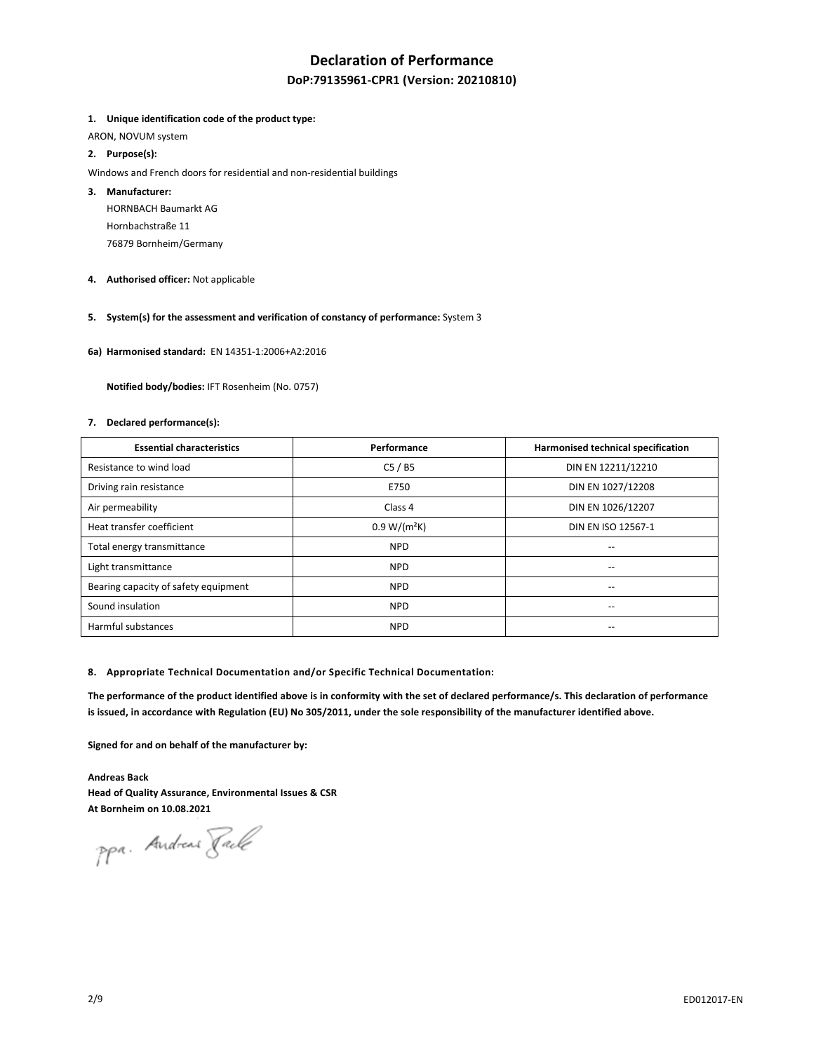## **Declaration of Performance**

## **DoP:79135961-CPR1 (Version: 20210810)**

#### **1. Unique identification code of the product type:**

ARON, NOVUM system

## **2. Purpose(s):**

Windows and French doors for residential and non-residential buildings

## **3. Manufacturer:**

HORNBACH Baumarkt AG Hornbachstraße 11 76879 Bornheim/Germany

**4. Authorised officer:** Not applicable

## **5. System(s) for the assessment and verification of constancy of performance:** System 3

**6a) Harmonised standard:** EN 14351-1:2006+A2:2016

 **Notified body/bodies:** IFT Rosenheim (No. 0757)

#### **7. Declared performance(s):**

| <b>Essential characteristics</b>     | Performance    | Harmonised technical specification    |
|--------------------------------------|----------------|---------------------------------------|
| Resistance to wind load              | C5/BS          | DIN EN 12211/12210                    |
| Driving rain resistance              | E750           | DIN EN 1027/12208                     |
| Air permeability                     | Class 4        | DIN EN 1026/12207                     |
| Heat transfer coefficient            | $0.9 W/(m^2K)$ | DIN EN ISO 12567-1                    |
| Total energy transmittance           | <b>NPD</b>     | $-$                                   |
| Light transmittance                  | <b>NPD</b>     |                                       |
| Bearing capacity of safety equipment | <b>NPD</b>     | $\hspace{0.05cm}$ – $\hspace{0.05cm}$ |
| Sound insulation                     | <b>NPD</b>     | $\overline{\phantom{a}}$              |
| Harmful substances                   | <b>NPD</b>     | $\overline{\phantom{a}}$              |

#### **8. Appropriate Technical Documentation and/or Specific Technical Documentation:**

**The performance of the product identified above is in conformity with the set of declared performance/s. This declaration of performance is issued, in accordance with Regulation (EU) No 305/2011, under the sole responsibility of the manufacturer identified above.** 

**Signed for and on behalf of the manufacturer by:** 

**Andreas Back Head of Quality Assurance, Environmental Issues & CSR At Bornheim on 10.08.2021** 

ppa. Andreas Fack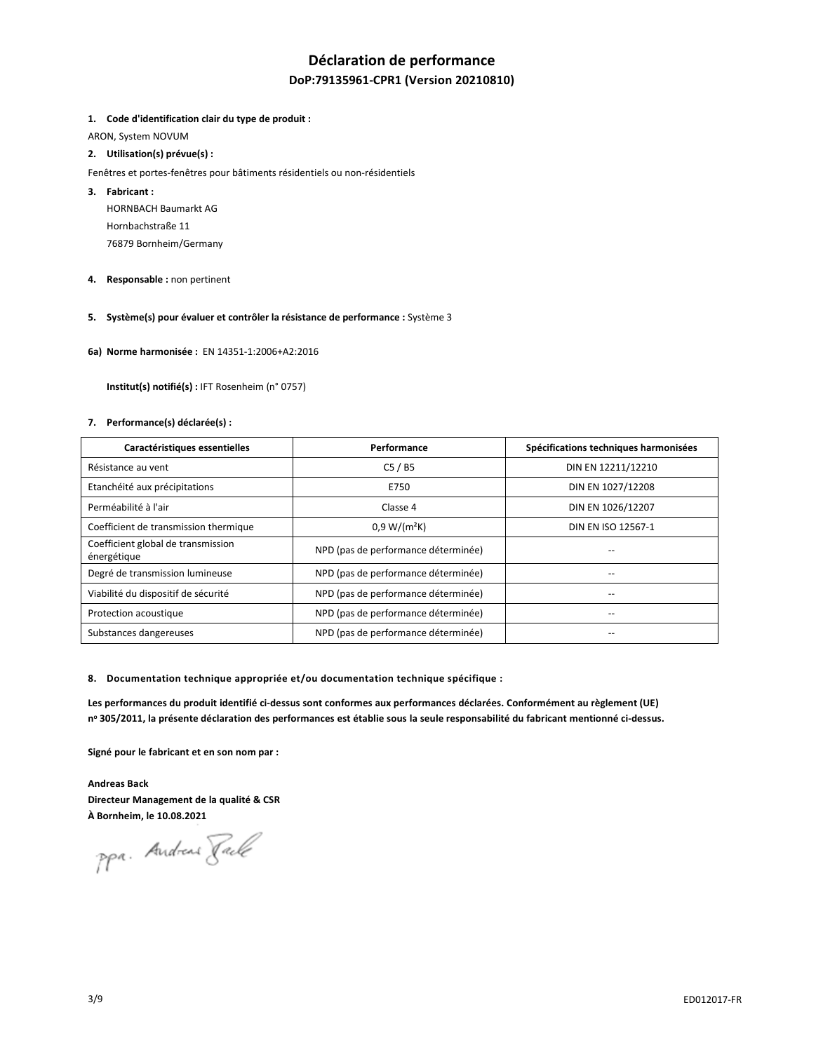## **Déclaration de performance**

## **DoP:79135961-CPR1 (Version 20210810)**

#### **1. Code d'identification clair du type de produit :**

ARON, System NOVUM

## **2. Utilisation(s) prévue(s) :**

- Fenêtres et portes-fenêtres pour bâtiments résidentiels ou non-résidentiels
- **3. Fabricant :** 
	- HORNBACH Baumarkt AG Hornbachstraße 11 76879 Bornheim/Germany
- **4. Responsable :** non pertinent
- **5. Système(s) pour évaluer et contrôler la résistance de performance :** Système 3
- **6a) Norme harmonisée :** EN 14351-1:2006+A2:2016

 **Institut(s) notifié(s) :** IFT Rosenheim (n° 0757)

#### **7. Performance(s) déclarée(s) :**

| Caractéristiques essentielles                     | Performance                         | Spécifications techniques harmonisées |
|---------------------------------------------------|-------------------------------------|---------------------------------------|
| Résistance au vent                                | C5/BS                               | DIN EN 12211/12210                    |
| Etanchéité aux précipitations                     | E750                                | DIN EN 1027/12208                     |
| Perméabilité à l'air                              | Classe 4                            | DIN EN 1026/12207                     |
| Coefficient de transmission thermique             | $0.9 W/(m^2K)$                      | DIN EN ISO 12567-1                    |
| Coefficient global de transmission<br>énergétique | NPD (pas de performance déterminée) |                                       |
| Degré de transmission lumineuse                   | NPD (pas de performance déterminée) |                                       |
| Viabilité du dispositif de sécurité               | NPD (pas de performance déterminée) | --                                    |
| Protection acoustique                             | NPD (pas de performance déterminée) | --                                    |
| Substances dangereuses                            | NPD (pas de performance déterminée) |                                       |

**8. Documentation technique appropriée et/ou documentation technique spécifique :** 

**Les performances du produit identifié ci-dessus sont conformes aux performances déclarées. Conformément au règlement (UE) n o 305/2011, la présente déclaration des performances est établie sous la seule responsabilité du fabricant mentionné ci-dessus.** 

**Signé pour le fabricant et en son nom par :** 

**Andreas Back Directeur Management de la qualité & CSR À Bornheim, le 10.08.2021** 

ppa. Andreas Pack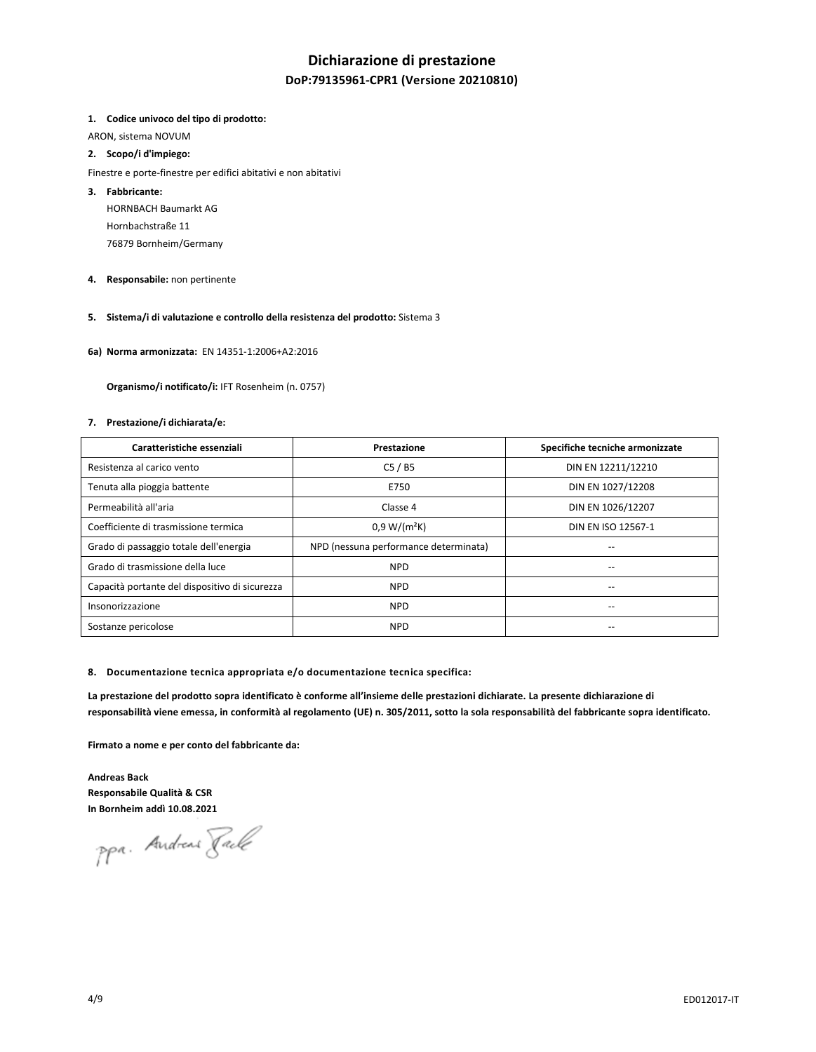## **Dichiarazione di prestazione**

## **DoP:79135961-CPR1 (Versione 20210810)**

#### **1. Codice univoco del tipo di prodotto:**

ARON, sistema NOVUM

### **2. Scopo/i d'impiego:**

Finestre e porte-finestre per edifici abitativi e non abitativi

## **3. Fabbricante:**

HORNBACH Baumarkt AG Hornbachstraße 11 76879 Bornheim/Germany

**4. Responsabile:** non pertinente

## **5. Sistema/i di valutazione e controllo della resistenza del prodotto:** Sistema 3

**6a) Norma armonizzata:** EN 14351-1:2006+A2:2016

 **Organismo/i notificato/i:** IFT Rosenheim (n. 0757)

#### **7. Prestazione/i dichiarata/e:**

| Caratteristiche essenziali                     | Prestazione                           | Specifiche tecniche armonizzate |
|------------------------------------------------|---------------------------------------|---------------------------------|
| Resistenza al carico vento                     | C5/BS                                 | DIN EN 12211/12210              |
| Tenuta alla pioggia battente                   | E750                                  | DIN EN 1027/12208               |
| Permeabilità all'aria                          | Classe 4                              | DIN EN 1026/12207               |
| Coefficiente di trasmissione termica           | $0.9 W/(m^2K)$                        | DIN EN ISO 12567-1              |
| Grado di passaggio totale dell'energia         | NPD (nessuna performance determinata) |                                 |
| Grado di trasmissione della luce               | <b>NPD</b>                            | --                              |
| Capacità portante del dispositivo di sicurezza | <b>NPD</b>                            | --                              |
| Insonorizzazione                               | <b>NPD</b>                            | --                              |
| Sostanze pericolose                            | <b>NPD</b>                            |                                 |

#### **8. Documentazione tecnica appropriata e/o documentazione tecnica specifica:**

**La prestazione del prodotto sopra identificato è conforme all'insieme delle prestazioni dichiarate. La presente dichiarazione di responsabilità viene emessa, in conformità al regolamento (UE) n. 305/2011, sotto la sola responsabilità del fabbricante sopra identificato.** 

**Firmato a nome e per conto del fabbricante da:** 

**Andreas Back Responsabile Qualità & CSR In Bornheim addì 10.08.2021** 

ppa. Andreas Fack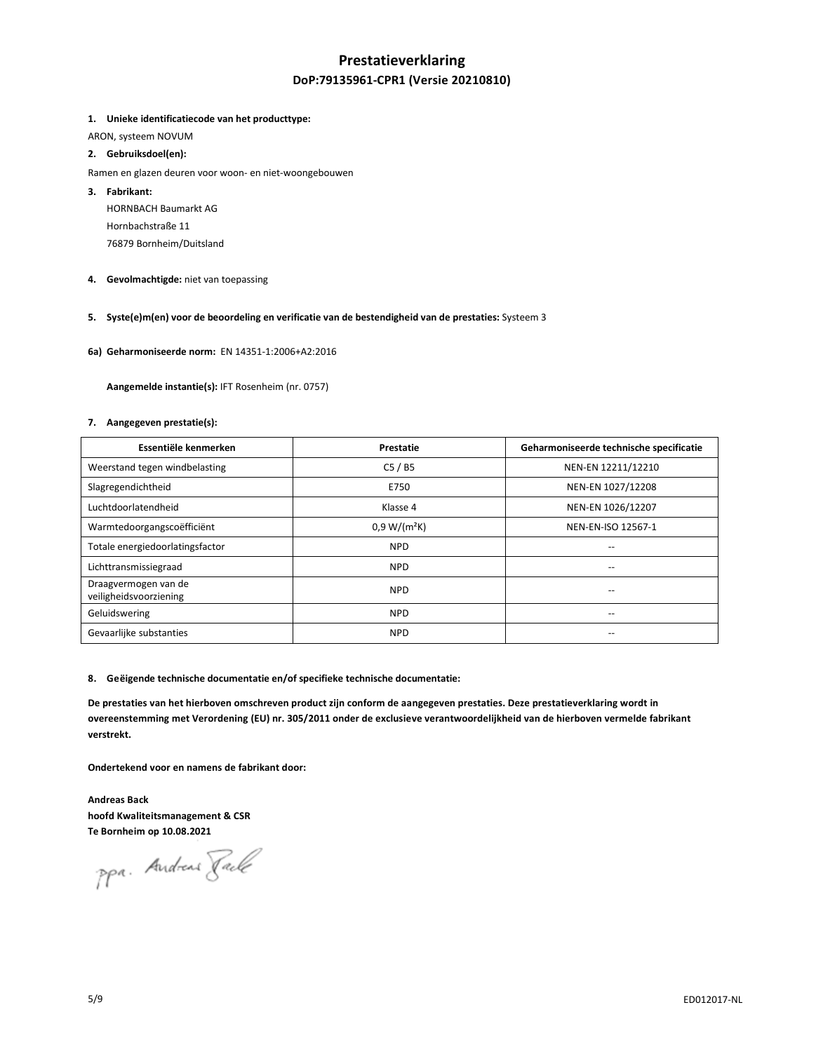# **Prestatieverklaring DoP:79135961-CPR1 (Versie 20210810)**

### **1. Unieke identificatiecode van het producttype:**

ARON, systeem NOVUM

### **2. Gebruiksdoel(en):**

- Ramen en glazen deuren voor woon- en niet-woongebouwen
- **3. Fabrikant:**

HORNBACH Baumarkt AG Hornbachstraße 11 76879 Bornheim/Duitsland

**4. Gevolmachtigde:** niet van toepassing

## **5. Syste(e)m(en) voor de beoordeling en verificatie van de bestendigheid van de prestaties:** Systeem 3

**6a) Geharmoniseerde norm:** EN 14351-1:2006+A2:2016

 **Aangemelde instantie(s):** IFT Rosenheim (nr. 0757)

#### **7. Aangegeven prestatie(s):**

| Essentiële kenmerken                           | Prestatie      | Geharmoniseerde technische specificatie |
|------------------------------------------------|----------------|-----------------------------------------|
| Weerstand tegen windbelasting                  | C5/BS          | NEN-EN 12211/12210                      |
| Slagregendichtheid                             | E750           | NEN-EN 1027/12208                       |
| Luchtdoorlatendheid                            | Klasse 4       | NEN-EN 1026/12207                       |
| Warmtedoorgangscoëfficiënt                     | $0.9 W/(m^2K)$ | NEN-EN-ISO 12567-1                      |
| Totale energiedoorlatingsfactor                | <b>NPD</b>     | --                                      |
| Lichttransmissiegraad                          | <b>NPD</b>     | --                                      |
| Draagvermogen van de<br>veiligheidsvoorziening | <b>NPD</b>     | --                                      |
| Geluidswering                                  | <b>NPD</b>     | --                                      |
| Gevaarlijke substanties                        | <b>NPD</b>     | --                                      |

#### **8. Geëigende technische documentatie en/of specifieke technische documentatie:**

**De prestaties van het hierboven omschreven product zijn conform de aangegeven prestaties. Deze prestatieverklaring wordt in overeenstemming met Verordening (EU) nr. 305/2011 onder de exclusieve verantwoordelijkheid van de hierboven vermelde fabrikant verstrekt.** 

**Ondertekend voor en namens de fabrikant door:** 

**Andreas Back hoofd Kwaliteitsmanagement & CSR Te Bornheim op 10.08.2021** 

ppa. Andreas Fack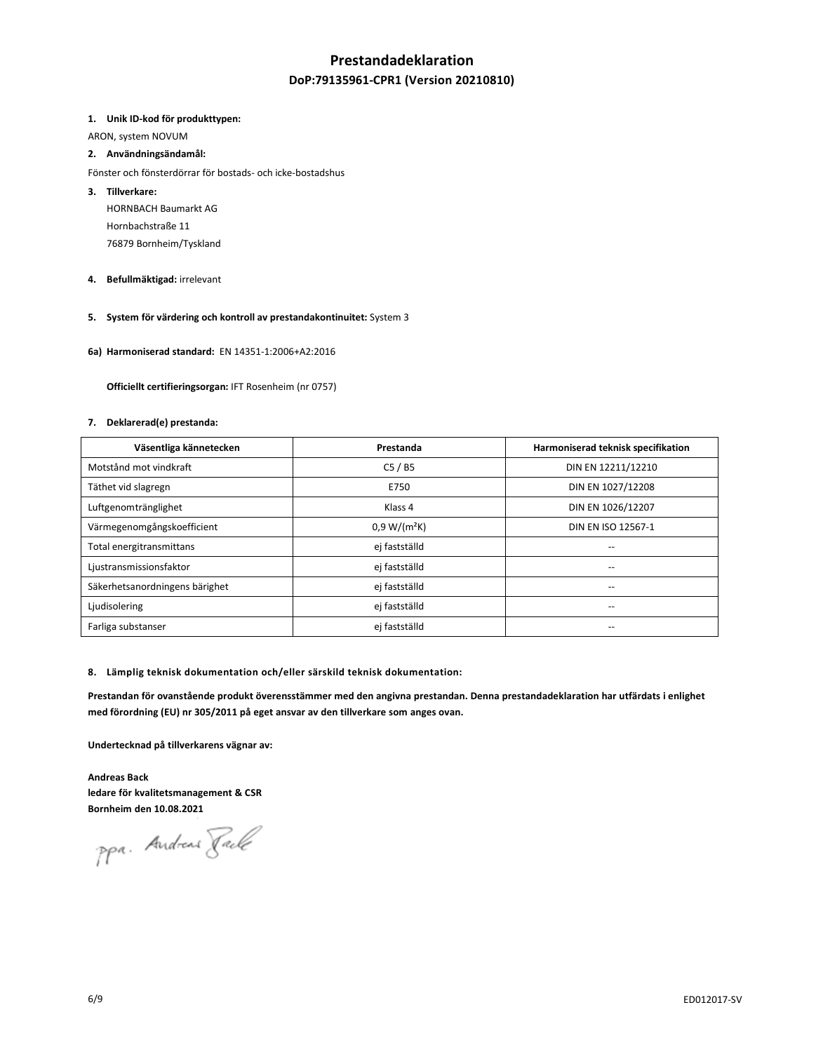## **Prestandadeklaration**

## **DoP:79135961-CPR1 (Version 20210810)**

#### **1. Unik ID-kod för produkttypen:**

ARON, system NOVUM

### **2. Användningsändamål:**

Fönster och fönsterdörrar för bostads- och icke-bostadshus

## **3. Tillverkare:**

HORNBACH Baumarkt AG Hornbachstraße 11 76879 Bornheim/Tyskland

### **4. Befullmäktigad:** irrelevant

## **5. System för värdering och kontroll av prestandakontinuitet:** System 3

**6a) Harmoniserad standard:** EN 14351-1:2006+A2:2016

 **Officiellt certifieringsorgan:** IFT Rosenheim (nr 0757)

#### **7. Deklarerad(e) prestanda:**

| Väsentliga kännetecken         | Prestanda      | Harmoniserad teknisk specifikation |
|--------------------------------|----------------|------------------------------------|
| Motstånd mot vindkraft         | C5/BS          | DIN EN 12211/12210                 |
| Täthet vid slagregn            | E750           | DIN EN 1027/12208                  |
| Luftgenomtränglighet           | Klass 4        | DIN EN 1026/12207                  |
| Värmegenomgångskoefficient     | $0.9 W/(m^2K)$ | DIN EN ISO 12567-1                 |
| Total energitransmittans       | ej fastställd  | $-$                                |
| Ljustransmissionsfaktor        | ej fastställd  |                                    |
| Säkerhetsanordningens bärighet | ej fastställd  | $\overline{\phantom{a}}$           |
| Ljudisolering                  | ej fastställd  | $\overline{\phantom{a}}$           |
| Farliga substanser             | ej fastställd  | $\overline{\phantom{a}}$           |

#### **8. Lämplig teknisk dokumentation och/eller särskild teknisk dokumentation:**

**Prestandan för ovanstående produkt överensstämmer med den angivna prestandan. Denna prestandadeklaration har utfärdats i enlighet med förordning (EU) nr 305/2011 på eget ansvar av den tillverkare som anges ovan.** 

**Undertecknad på tillverkarens vägnar av:** 

**Andreas Back ledare för kvalitetsmanagement & CSR Bornheim den 10.08.2021** 

ppa. Andreas Fack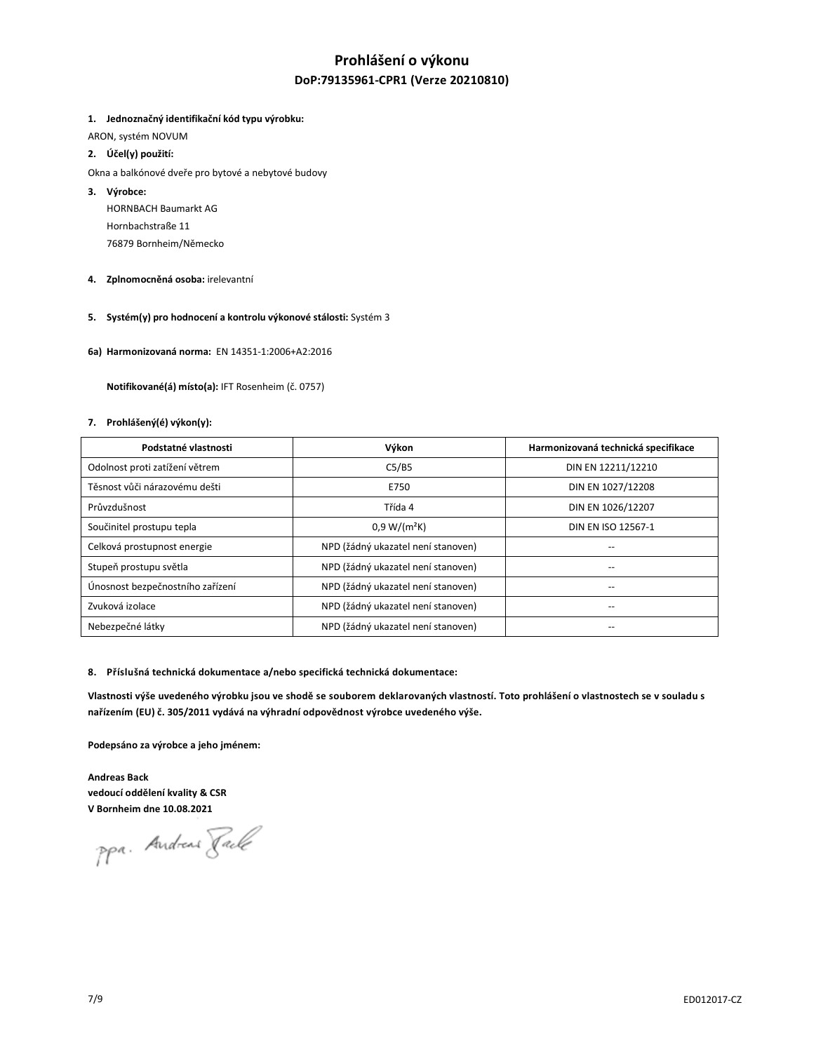## **Prohlášení o výkonu DoP:79135961-CPR1 (Verze 20210810)**

### **1. Jednoznačný identifikační kód typu výrobku:**

ARON, systém NOVUM

- **2. Účel(y) použití:**
- Okna a balkónové dveře pro bytové a nebytové budovy
- **3. Výrobce:**

HORNBACH Baumarkt AG Hornbachstraße 11 76879 Bornheim/Německo

- **4. Zplnomocněná osoba:** irelevantní
- **5. Systém(y) pro hodnocení a kontrolu výkonové stálosti:** Systém 3
- **6a) Harmonizovaná norma:** EN 14351-1:2006+A2:2016

 **Notifikované(á) místo(a):** IFT Rosenheim (č. 0757)

#### **7. Prohlášený(é) výkon(y):**

| Podstatné vlastnosti             | Výkon                              | Harmonizovaná technická specifikace |
|----------------------------------|------------------------------------|-------------------------------------|
| Odolnost proti zatížení větrem   | C5/B5                              | DIN EN 12211/12210                  |
| Těsnost vůči nárazovému dešti    | E750                               | DIN EN 1027/12208                   |
| Průvzdušnost                     | Třída 4                            | DIN EN 1026/12207                   |
| Součinitel prostupu tepla        | $0.9 W/(m^2K)$                     | DIN EN ISO 12567-1                  |
| Celková prostupnost energie      | NPD (žádný ukazatel není stanoven) |                                     |
| Stupeň prostupu světla           | NPD (žádný ukazatel není stanoven) |                                     |
| Únosnost bezpečnostního zařízení | NPD (žádný ukazatel není stanoven) | --                                  |
| Zvuková izolace                  | NPD (žádný ukazatel není stanoven) | --                                  |
| Nebezpečné látky                 | NPD (žádný ukazatel není stanoven) |                                     |

#### **8. Příslušná technická dokumentace a/nebo specifická technická dokumentace:**

Vlastnosti výše uvedeného výrobku jsou ve shodě se souborem deklarovaných vlastností. Toto prohlášení o vlastnostech se v souladu s **nařízením (EU) č. 305/2011 vydává na výhradní odpovědnost výrobce uvedeného výše.**

**Podepsáno za výrobce a jeho jménem:** 

**Andreas Back vedoucí oddělení kvality & CSR V Bornheim dne 10.08.2021** 

ppa. Andreas Faile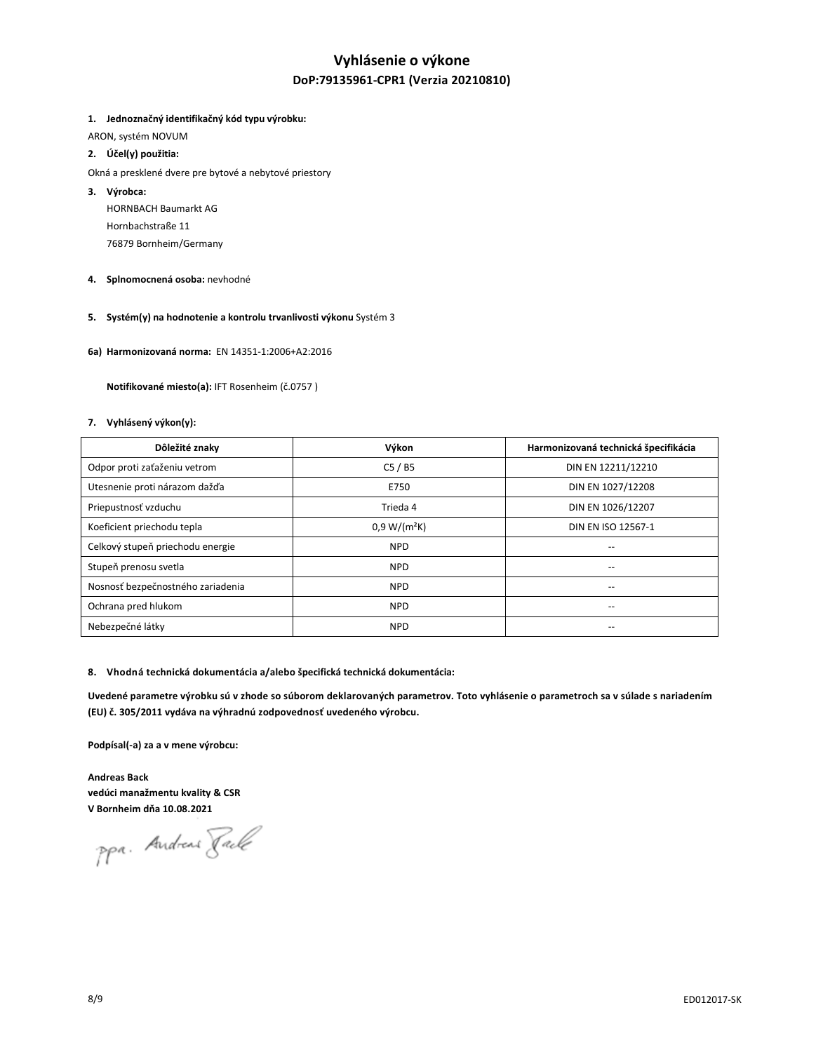# **Vyhlásenie o výkone DoP:79135961-CPR1 (Verzia 20210810)**

### **1. Jednoznačný identifikačný kód typu výrobku:**

ARON, systém NOVUM

## **2. Účel(y) použitia:**

- Okná a presklené dvere pre bytové a nebytové priestory
- **3. Výrobca:** 
	- HORNBACH Baumarkt AG Hornbachstraße 11 76879 Bornheim/Germany
- **4. Splnomocnená osoba:** nevhodné
- **5. Systém(y) na hodnotenie a kontrolu trvanlivosti výkonu** Systém 3
- **6a) Harmonizovaná norma:** EN 14351-1:2006+A2:2016

 **Notifikované miesto(a):** IFT Rosenheim (č.0757 )

#### **7. Vyhlásený výkon(y):**

| Dôležité znaky                    | Výkon          | Harmonizovaná technická špecifikácia |
|-----------------------------------|----------------|--------------------------------------|
| Odpor proti zaťaženiu vetrom      | C5/BS          | DIN EN 12211/12210                   |
| Utesnenie proti nárazom dažďa     | E750           | DIN EN 1027/12208                    |
| Priepustnosť vzduchu              | Trieda 4       | DIN EN 1026/12207                    |
| Koeficient priechodu tepla        | $0.9 W/(m^2K)$ | DIN EN ISO 12567-1                   |
| Celkový stupeň priechodu energie  | <b>NPD</b>     | --                                   |
| Stupeň prenosu svetla             | <b>NPD</b>     |                                      |
| Nosnosť bezpečnostného zariadenia | <b>NPD</b>     | --                                   |
| Ochrana pred hlukom               | <b>NPD</b>     | --                                   |
| Nebezpečné látky                  | <b>NPD</b>     |                                      |

#### **8. Vhodná technická dokumentácia a/alebo špecifická technická dokumentácia:**

**Uvedené parametre výrobku sú v zhode so súborom deklarovaných parametrov. Toto vyhlásenie o parametroch sa v súlade s nariadením (EU) č. 305/2011 vydáva na výhradnú zodpovednosť uvedeného výrobcu.**

**Podpísal(-a) za a v mene výrobcu:** 

**Andreas Back vedúci manažmentu kvality & CSR V Bornheim dňa 10.08.2021**

ppa. Andreas Pack